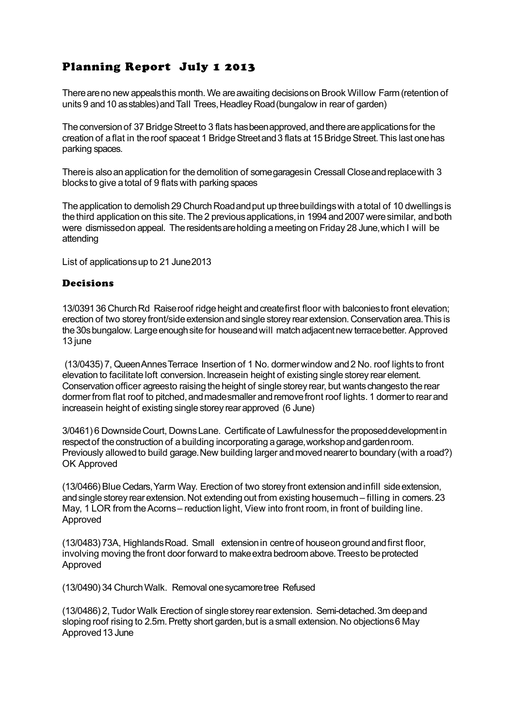## Planning Report July 1 2013

There are no new appeals this month. We are awaiting decisions on Brook Willow Farm (retention of units 9 and 10 as stables) and Tall Trees, Headley Road (bungalow in rear of garden)

The conversion of 37 Bridge Street to 3 flats has been approved, and there are applications for the creation of a flat in the roof space at 1 Bridge Street and 3 flats at 15 Bridge Street. This last one has parking spaces.

There is also an application for the demolition of some garages in Cressall Close and replace with 3 blocks to give a total of 9 flats with parking spaces

The application to demolish 29 Church Road and put up three buildings with a total of 10 dwellings is the third application on this site. The 2 previous applications, in 1994 and 2007 were similar, and both were dismissed on appeal. The residents are holding a meeting on Friday 28 June, which I will be attending

List of applications up to 21 June 2013

## Decisions

13/0391 36 Church Rd Raise roof ridge height and create first floor with balconies to front elevation; erection of two storey front/side extension and single storey rear extension. Conservation area. This is the 30s bungalow. Large enough site for house and will match adjacent new terrace better. Approved 13 june

 (13/0435) 7, Queen Annes Terrace Insertion of 1 No. dormer window and 2 No. roof lights to front elevation to facilitate loft conversion. Increase in height of existing single storey rear element. Conservation officer agreesto raising the height of single storey rear, but wants changesto the rear dormer from flat roof to pitched, and made smaller and remove front roof lights. 1 dormer to rear and increase in height of existing single storey rear approved (6 June)

3/0461) 6 Downside Court, Downs Lane. Certificate of Lawfulness for the proposed development in respect of the construction of a building incorporating a garage, workshop and garden room. Previously allowed to build garage. New building larger and moved nearer to boundary (with a road?) OK Approved

(13/0466) Blue Cedars, Yarm Way. Erection of two storey front extension and infill side extension, and single storey rear extension. Not extending out from existing house much – filling in corners. 23 May, 1 LOR from the Acorns – reduction light, View into front room, in front of building line. Approved

(13/0483) 73A, Highlands Road. Small extension in centre of house on ground and first floor, involving moving the front door forward to make extra bedroom above. Trees to be protected Approved

(13/0490) 34 Church Walk. Removal one sycamore tree Refused

(13/0486) 2, Tudor Walk Erection of single storey rear extension. Semi-detached. 3m deep and sloping roof rising to 2.5m. Pretty short garden, but is a small extension. No objections 6 May Approved 13 June